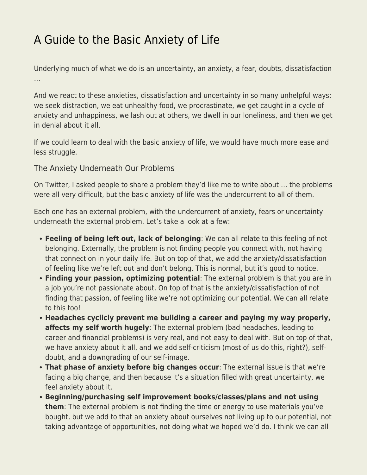## [A Guide to the Basic Anxiety of Life](https://everything-voluntary.com/guide-basic-anxiety-life)

Underlying much of what we do is an uncertainty, an anxiety, a fear, doubts, dissatisfaction …

And we react to these anxieties, dissatisfaction and uncertainty in so many unhelpful ways: we seek distraction, we eat unhealthy food, we procrastinate, we get caught in a cycle of anxiety and unhappiness, we lash out at others, we dwell in our loneliness, and then we get in denial about it all.

If we could learn to deal with the basic anxiety of life, we would have much more ease and less struggle.

The Anxiety Underneath Our Problems

On Twitter, I asked people to share a problem they'd like me to write about … the problems were all very difficult, but the basic anxiety of life was the undercurrent to all of them.

Each one has an external problem, with the undercurrent of anxiety, fears or uncertainty underneath the external problem. Let's take a look at a few:

- **Feeling of being left out, lack of belonging**: We can all relate to this feeling of not belonging. Externally, the problem is not finding people you connect with, not having that connection in your daily life. But on top of that, we add the anxiety/dissatisfaction of feeling like we're left out and don't belong. This is normal, but it's good to notice.
- **Finding your passion, optimizing potential**: The external problem is that you are in a job you're not passionate about. On top of that is the anxiety/dissatisfaction of not finding that passion, of feeling like we're not optimizing our potential. We can all relate to this too!
- **Headaches cyclicly prevent me building a career and paying my way properly, affects my self worth hugely**: The external problem (bad headaches, leading to career and financial problems) is very real, and not easy to deal with. But on top of that, we have anxiety about it all, and we add self-criticism (most of us do this, right?), selfdoubt, and a downgrading of our self-image.
- **That phase of anxiety before big changes occur**: The external issue is that we're facing a big change, and then because it's a situation filled with great uncertainty, we feel anxiety about it.
- **Beginning/purchasing self improvement books/classes/plans and not using them**: The external problem is not finding the time or energy to use materials you've bought, but we add to that an anxiety about ourselves not living up to our potential, not taking advantage of opportunities, not doing what we hoped we'd do. I think we can all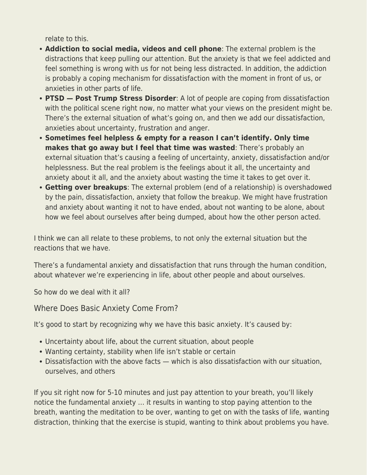relate to this.

- **Addiction to social media, videos and cell phone**: The external problem is the distractions that keep pulling our attention. But the anxiety is that we feel addicted and feel something is wrong with us for not being less distracted. In addition, the addiction is probably a coping mechanism for dissatisfaction with the moment in front of us, or anxieties in other parts of life.
- **PTSD Post Trump Stress Disorder**: A lot of people are coping from dissatisfaction with the political scene right now, no matter what your views on the president might be. There's the external situation of what's going on, and then we add our dissatisfaction, anxieties about uncertainty, frustration and anger.
- **Sometimes feel helpless & empty for a reason I can't identify. Only time makes that go away but I feel that time was wasted**: There's probably an external situation that's causing a feeling of uncertainty, anxiety, dissatisfaction and/or helplessness. But the real problem is the feelings about it all, the uncertainty and anxiety about it all, and the anxiety about wasting the time it takes to get over it.
- **Getting over breakups**: The external problem (end of a relationship) is overshadowed by the pain, dissatisfaction, anxiety that follow the breakup. We might have frustration and anxiety about wanting it not to have ended, about not wanting to be alone, about how we feel about ourselves after being dumped, about how the other person acted.

I think we can all relate to these problems, to not only the external situation but the reactions that we have.

There's a fundamental anxiety and dissatisfaction that runs through the human condition, about whatever we're experiencing in life, about other people and about ourselves.

So how do we deal with it all?

Where Does Basic Anxiety Come From?

It's good to start by recognizing why we have this basic anxiety. It's caused by:

- Uncertainty about life, about the current situation, about people
- Wanting certainty, stability when life isn't stable or certain
- Dissatisfaction with the above facts which is also dissatisfaction with our situation, ourselves, and others

If you sit right now for 5-10 minutes and just pay attention to your breath, you'll likely notice the fundamental anxiety … it results in wanting to stop paying attention to the breath, wanting the meditation to be over, wanting to get on with the tasks of life, wanting distraction, thinking that the exercise is stupid, wanting to think about problems you have.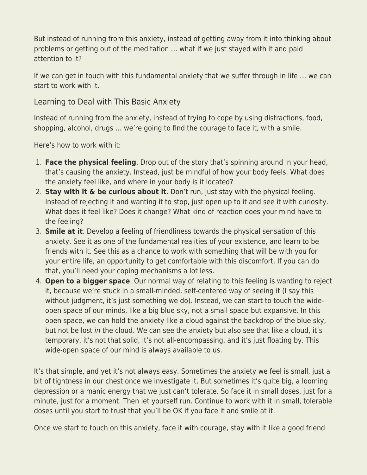But instead of running from this anxiety, instead of getting away from it into thinking about problems or getting out of the meditation … what if we just stayed with it and paid attention to it?

If we can get in touch with this fundamental anxiety that we suffer through in life … we can start to work with it.

Learning to Deal with This Basic Anxiety

Instead of running from the anxiety, instead of trying to cope by using distractions, food, shopping, alcohol, drugs … we're going to find the courage to face it, with a smile.

Here's how to work with it:

- 1. **Face the physical feeling**. Drop out of the story that's spinning around in your head, that's causing the anxiety. Instead, just be mindful of how your body feels. What does the anxiety feel like, and where in your body is it located?
- 2. **Stay with it & be curious about it**. Don't run, just stay with the physical feeling. Instead of rejecting it and wanting it to stop, just open up to it and see it with curiosity. What does it feel like? Does it change? What kind of reaction does your mind have to the feeling?
- 3. **Smile at it**. Develop a feeling of friendliness towards the physical sensation of this anxiety. See it as one of the fundamental realities of your existence, and learn to be friends with it. See this as a chance to work with something that will be with you for your entire life, an opportunity to get comfortable with this discomfort. If you can do that, you'll need your coping mechanisms a lot less.
- 4. **Open to a bigger space**. Our normal way of relating to this feeling is wanting to reject it, because we're stuck in a small-minded, self-centered way of seeing it (I say this without judgment, it's just something we do). Instead, we can start to touch the wideopen space of our minds, like a big blue sky, not a small space but expansive. In this open space, we can hold the anxiety like a cloud against the backdrop of the blue sky, but not be lost in the cloud. We can see the anxiety but also see that like a cloud, it's temporary, it's not that solid, it's not all-encompassing, and it's just floating by. This wide-open space of our mind is always available to us.

It's that simple, and yet it's not always easy. Sometimes the anxiety we feel is small, just a bit of tightness in our chest once we investigate it. But sometimes it's quite big, a looming depression or a manic energy that we just can't tolerate. So face it in small doses, just for a minute, just for a moment. Then let yourself run. Continue to work with it in small, tolerable doses until you start to trust that you'll be OK if you face it and smile at it.

Once we start to touch on this anxiety, face it with courage, stay with it like a good friend